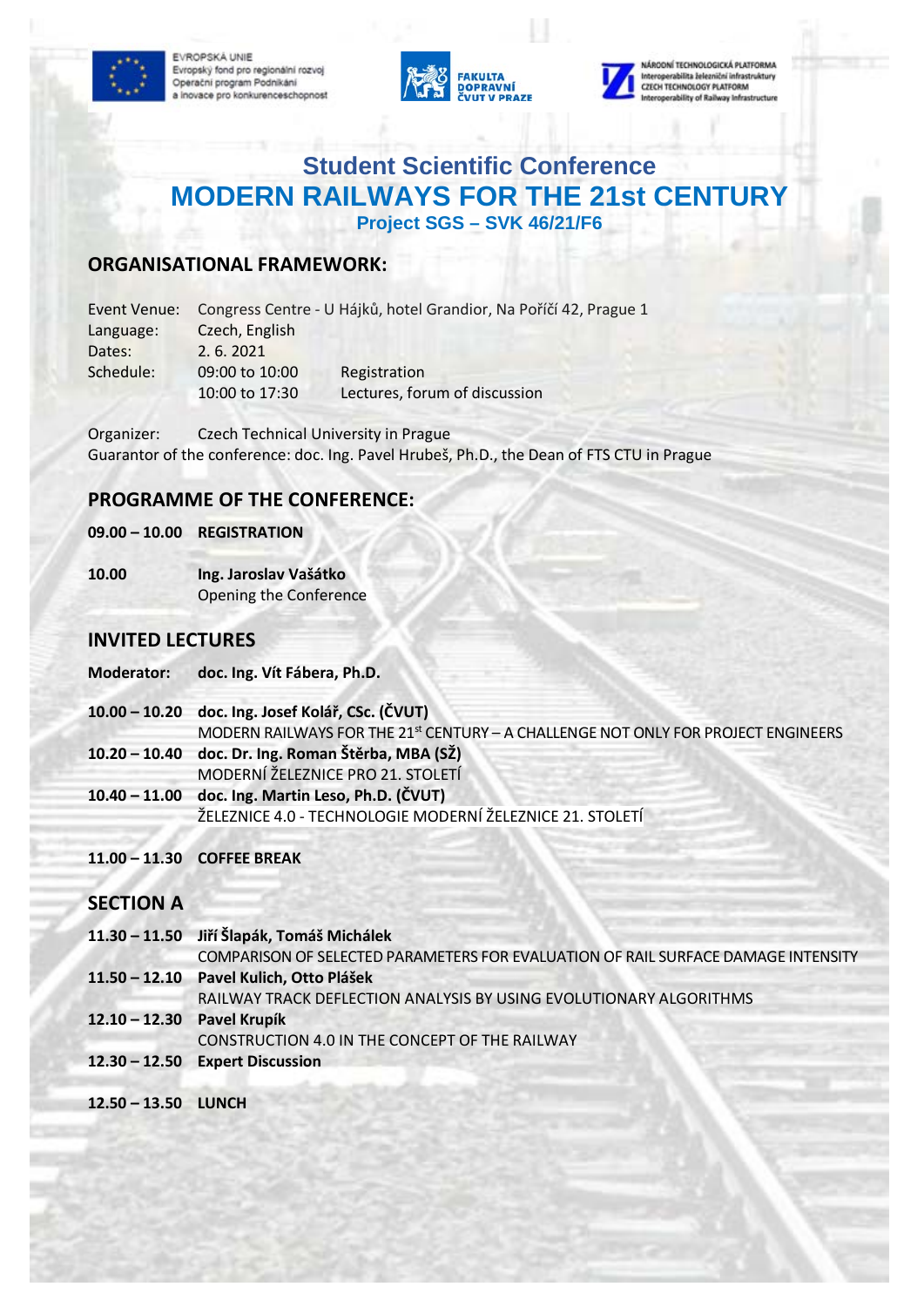EVROPSKÁ UNIE Evropský fond pro regionální rozvoj Operační program Podnikání a inovace pro konkurenceschopnost





erabilita železniční infrastruktury **CZECH TECHNOLOGY PLATFORM** rability of Railway Infrastruct

# **Student Scientific Conference MODERN RAILWAYS FOR THE 21st CENTURY Project SGS – SVK 46/21/F6**

### **ORGANISATIONAL FRAMEWORK:**

| Event Venue: |                | Congress Centre - U Hájků, hotel Grandior, Na Poříčí 42, Prague 1 |  |
|--------------|----------------|-------------------------------------------------------------------|--|
| Language:    | Czech, English |                                                                   |  |
| Dates:       | 2.6.2021       |                                                                   |  |
| Schedule:    | 09:00 to 10:00 | Registration                                                      |  |
|              | 10:00 to 17:30 | Lectures, forum of discussion                                     |  |

Organizer: Czech Technical University in Prague Guarantor of the conference: doc. Ing. Pavel Hrubeš, Ph.D., the Dean of FTS CTU in Prague

### **PROGRAMME OF THE CONFERENCE:**

#### **09.00 – 10.00 REGISTRATION**

**10.00 Ing. Jaroslav Vašátko** Opening the Conference

#### **INVITED LECTURES**

| <b>Moderator:</b> | doc. Ing. Vít Fábera, Ph.D. |
|-------------------|-----------------------------|
|                   |                             |

- **10.00 – 10.20 doc. Ing. Josef Kolář, CSc. (ČVUT)**  MODERN RAILWAYS FOR THE 21<sup>st</sup> CENTURY – A CHALLENGE NOT ONLY FOR PROJECT ENGINEERS **10.20 – 10.40 doc. Dr. Ing. Roman Štěrba, MBA (SŽ)** MODERNÍ ŽELEZNICE PRO 21. STOLETÍ
- **10.40 – 11.00 doc. Ing. Martin Leso, Ph.D. (ČVUT)** ŽELEZNICE 4.0 - TECHNOLOGIE MODERNÍ ŽELEZNICE 21. STOLETÍ
- **11.00 – 11.30 COFFEE BREAK**

#### **SECTION A**

- **11.30 – 11.50 Jiří Šlapák, Tomáš Michálek** COMPARISON OF SELECTED PARAMETERS FOR EVALUATION OF RAIL SURFACE DAMAGE INTENSITY **11.50 – 12.10 Pavel Kulich, Otto Plášek** RAILWAY TRACK DEFLECTION ANALYSIS BY USING EVOLUTIONARY ALGORITHMS
- **12.10 – 12.30 Pavel Krupík** 
	- CONSTRUCTION 4.0 IN THE CONCEPT OF THE RAILWAY
- **12.30 – 12.50 Expert Discussion**
- **12.50 – 13.50 LUNCH**